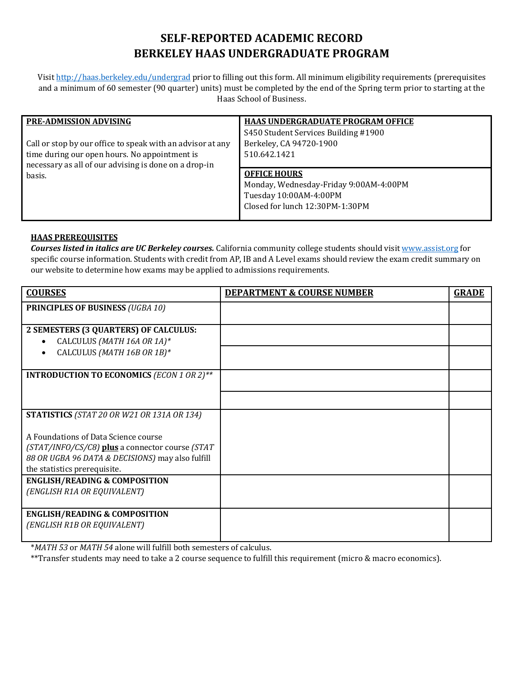## **SELF-REPORTED ACADEMIC RECORD BERKELEY HAAS UNDERGRADUATE PROGRAM**

Visi[t http://haas.berkeley.edu/undergrad](http://haas.berkeley.edu/undergrad) prior to filling out this form. All minimum eligibility requirements (prerequisites and a minimum of 60 semester (90 quarter) units) must be completed by the end of the Spring term prior to starting at the Haas School of Business.

| <b>PRE-ADMISSION ADVISING</b>                                                                                                                                                  | <b>HAAS UNDERGRADUATE PROGRAM OFFICE</b>                                                                                   |
|--------------------------------------------------------------------------------------------------------------------------------------------------------------------------------|----------------------------------------------------------------------------------------------------------------------------|
| Call or stop by our office to speak with an advisor at any<br>time during our open hours. No appointment is<br>necessary as all of our advising is done on a drop-in<br>basis. | S450 Student Services Building #1900<br>Berkeley, CA 94720-1900<br>510.642.1421                                            |
|                                                                                                                                                                                | <b>OFFICE HOURS</b><br>Monday, Wednesday-Friday 9:00AM-4:00PM<br>Tuesday 10:00AM-4:00PM<br>Closed for lunch 12:30PM-1:30PM |

## **HAAS PREREQUISITES**

*Courses listed in italics are UC Berkeley courses.* California community college students should visit [www.assist.org](http://www.assist.org/) for specific course information. Students with credit from AP, IB and A Level exams should review the exam credit summary on our website to determine how exams may be applied to admissions requirements.

| <b>COURSES</b>                                                          | <b>DEPARTMENT &amp; COURSE NUMBER</b> | <b>GRADE</b> |
|-------------------------------------------------------------------------|---------------------------------------|--------------|
| <b>PRINCIPLES OF BUSINESS (UGBA 10)</b>                                 |                                       |              |
| 2 SEMESTERS (3 QUARTERS) OF CALCULUS:                                   |                                       |              |
| CALCULUS (MATH 16A OR 1A)*                                              |                                       |              |
| CALCULUS (MATH 16B OR 1B)*<br>$\bullet$                                 |                                       |              |
| <b>INTRODUCTION TO ECONOMICS</b> (ECON 1 OR 2)**                        |                                       |              |
|                                                                         |                                       |              |
| STATISTICS (STAT 20 OR W21 OR 131A OR 134)                              |                                       |              |
| A Foundations of Data Science course                                    |                                       |              |
| (STAT/INFO/CS/C8) plus a connector course (STAT                         |                                       |              |
| 88 OR UGBA 96 DATA & DECISIONS) may also fulfill                        |                                       |              |
| the statistics prerequisite.                                            |                                       |              |
| <b>ENGLISH/READING &amp; COMPOSITION</b><br>(ENGLISH R1A OR EQUIVALENT) |                                       |              |
|                                                                         |                                       |              |
| <b>ENGLISH/READING &amp; COMPOSITION</b>                                |                                       |              |
| (ENGLISH R1B OR EQUIVALENT)                                             |                                       |              |

\**MATH 53* or *MATH 54* alone will fulfill both semesters of calculus.

\*\*Transfer students may need to take a 2 course sequence to fulfill this requirement (micro & macro economics).